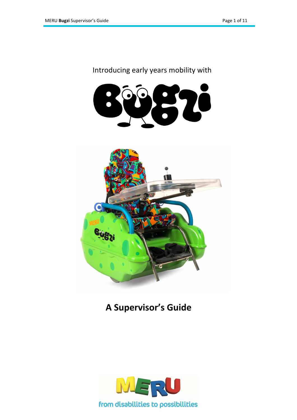## Introducing early years mobility with





## **A Supervisor's Guide**

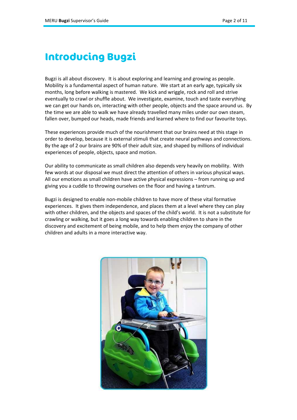## **Introducing Bugzi**

Bugzi is all about discovery. It is about exploring and learning and growing as people. Mobility is a fundamental aspect of human nature. We start at an early age, typically six months, long before walking is mastered. We kick and wriggle, rock and roll and strive eventually to crawl or shuffle about. We investigate, examine, touch and taste everything we can get our hands on, interacting with other people, objects and the space around us. By the time we are able to walk we have already travelled many miles under our own steam, fallen over, bumped our heads, made friends and learned where to find our favourite toys.

These experiences provide much of the nourishment that our brains need at this stage in order to develop, because it is external stimuli that create neural pathways and connections. By the age of 2 our brains are 90% of their adult size, and shaped by millions of individual experiences of people, objects, space and motion.

Our ability to communicate as small children also depends very heavily on mobility. With few words at our disposal we must direct the attention of others in various physical ways. All our emotions as small children have active physical expressions – from running up and giving you a cuddle to throwing ourselves on the floor and having a tantrum.

Bugzi is designed to enable non-mobile children to have more of these vital formative experiences. It gives them independence, and places them at a level where they can play with other children, and the objects and spaces of the child's world. It is not a substitute for crawling or walking, but it goes a long way towards enabling children to share in the discovery and excitement of being mobile, and to help them enjoy the company of other children and adults in a more interactive way.

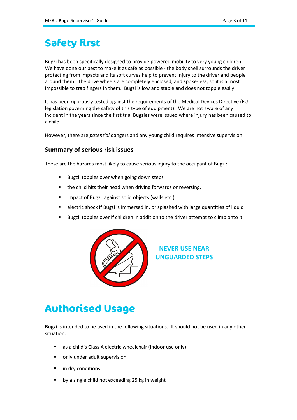## **Safety first**

Bugzi has been specifically designed to provide powered mobility to very young children. We have done our best to make it as safe as possible - the body shell surrounds the driver protecting from impacts and its soft curves help to prevent injury to the driver and people around them. The drive wheels are completely enclosed, and spoke-less, so it is almost impossible to trap fingers in them. Bugzi is low and stable and does not topple easily.

It has been rigorously tested against the requirements of the Medical Devices Directive (EU legislation governing the safety of this type of equipment). We are not aware of any incident in the years since the first trial Bugzies were issued where injury has been caused to a child.

However, there are *potential* dangers and any young child requires intensive supervision.

#### **Summary of serious risk issues**

These are the hazards most likely to cause serious injury to the occupant of Bugzi:

- Bugzi topples over when going down steps
- the child hits their head when driving forwards or reversing,
- **E** impact of Bugzi against solid objects (walls etc.)
- electric shock if Bugzi is immersed in, or splashed with large quantities of liquid
- Bugzi topples over if children in addition to the driver attempt to climb onto it



**NEVER USE NEAR UNGUARDED STEPS**

# **Authorised Usage**

**Bugzi** is intended to be used in the following situations. It should not be used in any other situation:

- as a child's Class A electric wheelchair (indoor use only)
- **•** only under adult supervision
- in dry conditions
- by a single child not exceeding 25 kg in weight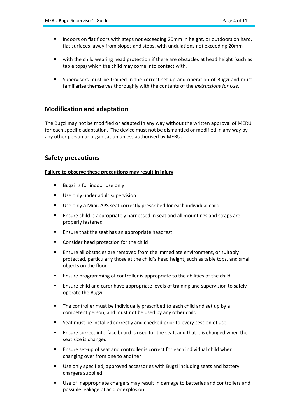- indoors on flat floors with steps not exceeding 20mm in height, or outdoors on hard, flat surfaces, away from slopes and steps, with undulations not exceeding 20mm
- with the child wearing head protection if there are obstacles at head height (such as table tops) which the child may come into contact with.
- Supervisors must be trained in the correct set-up and operation of Bugzi and must familiarise themselves thoroughly with the contents of the *Instructions for Use.*

### **Modification and adaptation**

The Bugzi may not be modified or adapted in any way without the written approval of MERU for each specific adaptation. The device must not be dismantled or modified in any way by any other person or organisation unless authorised by MERU.

### **Safety precautions**

#### **Failure to observe these precautions may result in injury**

- Bugzi is for indoor use only
- **Use only under adult supervision**
- Use only a MiniCAPS seat correctly prescribed for each individual child
- **Ensure child is appropriately harnessed in seat and all mountings and straps are** properly fastened
- **Ensure that the seat has an appropriate headrest**
- Consider head protection for the child
- Ensure all obstacles are removed from the immediate environment, or suitably protected, particularly those at the child's head height, such as table tops, and small objects on the floor
- Ensure programming of controller is appropriate to the abilities of the child
- Ensure child and carer have appropriate levels of training and supervision to safely operate the Bugzi
- The controller must be individually prescribed to each child and set up by a competent person, and must not be used by any other child
- Seat must be installed correctly and checked prior to every session of use
- Ensure correct interface board is used for the seat, and that it is changed when the seat size is changed
- Ensure set-up of seat and controller is correct for each individual child when changing over from one to another
- Use only specified, approved accessories with Bugzi including seats and battery chargers supplied
- Use of inappropriate chargers may result in damage to batteries and controllers and possible leakage of acid or explosion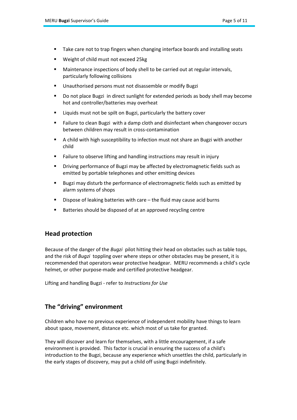- Take care not to trap fingers when changing interface boards and installing seats
- Weight of child must not exceed 25kg
- Maintenance inspections of body shell to be carried out at regular intervals, particularly following collisions
- Unauthorised persons must not disassemble or modify Bugzi
- Do not place Bugzi in direct sunlight for extended periods as body shell may become hot and controller/batteries may overheat
- Liquids must not be spilt on Bugzi, particularly the battery cover
- Failure to clean Bugzi with a damp cloth and disinfectant when changeover occurs between children may result in cross-contamination
- A child with high susceptibility to infection must not share an Bugzi with another child
- Failure to observe lifting and handling instructions may result in injury
- Driving performance of Bugzi may be affected by electromagnetic fields such as emitted by portable telephones and other emitting devices
- Bugzi may disturb the performance of electromagnetic fields such as emitted by alarm systems of shops
- Dispose of leaking batteries with care the fluid may cause acid burns
- Batteries should be disposed of at an approved recycling centre

### **Head protection**

Because of the danger of the *Bugzi* pilot hitting their head on obstacles such as table tops, and the risk of *Bugzi* toppling over where steps or other obstacles may be present, it is recommended that operators wear protective headgear. MERU recommends a child's cycle helmet, or other purpose-made and certified protective headgear.

Lifting and handling Bugzi - refer to *Instructions for Use*

### **The "driving" environment**

Children who have no previous experience of independent mobility have things to learn about space, movement, distance etc. which most of us take for granted.

They will discover and learn for themselves, with a little encouragement, if a safe environment is provided. This factor is crucial in ensuring the success of a child's introduction to the Bugzi, because any experience which unsettles the child, particularly in the early stages of discovery, may put a child off using Bugzi indefinitely.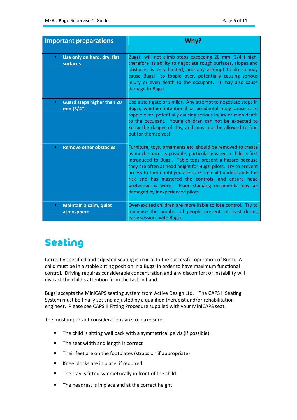| <b>Important preparations</b>                               | Why?                                                                                                                                                                                                                                                                                                                                                                                                                                                                        |
|-------------------------------------------------------------|-----------------------------------------------------------------------------------------------------------------------------------------------------------------------------------------------------------------------------------------------------------------------------------------------------------------------------------------------------------------------------------------------------------------------------------------------------------------------------|
|                                                             |                                                                                                                                                                                                                                                                                                                                                                                                                                                                             |
| Use only on hard, dry, flat<br>$\bullet$<br>surfaces        | Bugzi will not climb steps exceeding 20 mm (3/4") high,<br>therefore its ability to negotiate rough surfaces, slopes and<br>obstacles is very limited, and any attempt to do so may<br>cause Bugzi to topple over, potentially causing serious<br>injury or even death to the occupant. It may also cause<br>damage to Bugzi.                                                                                                                                               |
| <b>Guard steps higher than 20</b><br>$\bullet$<br>mm (3/4") | Use a stair gate or similar. Any attempt to negotiate steps in<br>Bugzi, whether intentional or accidental, may cause it to<br>topple over, potentially causing serious injury or even death<br>to the occupant. Young children can not be expected to<br>know the danger of this, and must not be allowed to find<br>out for themselves!!!                                                                                                                                 |
| <b>Remove other obstacles</b><br>$\bullet$                  | Furniture, toys, ornaments etc. should be removed to create<br>as much space as possible, particularly when a child is first<br>introduced to Bugzi. Table tops present a hazard because<br>they are often at head height for Bugzi pilots. Try to prevent<br>access to them until you are sure the child understands the<br>risk and has mastered the controls, and ensure head<br>protection is worn. Floor standing ornaments may be<br>damaged by inexperienced pilots. |
| Maintain a calm, quiet<br>$\bullet$<br>atmosphere           | Over-excited children are more liable to lose control. Try to<br>minimise the number of people present, at least during<br>early sessions with Bugzi.                                                                                                                                                                                                                                                                                                                       |

# **Seating**

Correctly specified and adjusted seating is crucial to the successful operation of Bugzi. A child must be in a stable sitting position in a Bugzi in order to have maximum functional control. Driving requires considerable concentration and any discomfort or instability will distract the child's attention from the task in hand.

Bugzi accepts the MiniCAPS seating system from Active Design Ltd. The CAPS II Seating System must be finally set and adjusted by a qualified therapist and/or rehabilitation engineer. Please see CAPS II Fitting Procedure supplied with your MiniCAPS seat.

The most important considerations are to make sure:

- The child is sitting well back with a symmetrical pelvis (if possible)
- The seat width and length is correct
- Their feet are on the footplates (straps on if appropriate)
- Knee blocks are in place, if required
- **The tray is fitted symmetrically in front of the child**
- The headrest is in place and at the correct height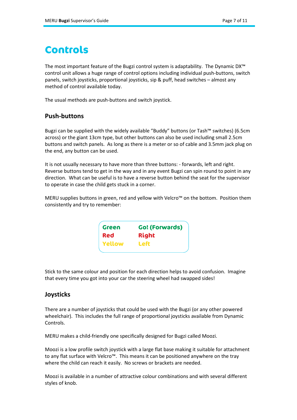## **Controls**

The most important feature of the Bugzi control system is adaptability. The Dynamic DX™ control unit allows a huge range of control options including individual push-buttons, switch panels, switch joysticks, proportional joysticks, sip & puff, head switches – almost any method of control available today.

The usual methods are push-buttons and switch joystick.

#### **Push-buttons**

Bugzi can be supplied with the widely available "Buddy" buttons (or Tash™ switches) (6.5cm across) or the giant 13cm type, but other buttons can also be used including small 2.5cm buttons and switch panels. As long as there is a meter or so of cable and 3.5mm jack plug on the end, any button can be used.

It is not usually necessary to have more than three buttons: - forwards, left and right. Reverse buttons tend to get in the way and in any event Bugzi can spin round to point in any direction. What can be useful is to have a reverse button behind the seat for the supervisor to operate in case the child gets stuck in a corner.

MERU supplies buttons in green, red and yellow with Velcro™ on the bottom. Position them consistently and try to remember:

| Green      | <b>Go! (Forwards)</b> |
|------------|-----------------------|
| <b>Red</b> | <b>Right</b>          |
| Yellow     | Left                  |
|            |                       |

Stick to the same colour and position for each direction helps to avoid confusion. Imagine that every time you got into your car the steering wheel had swapped sides!

### **Joysticks**

There are a number of joysticks that could be used with the Bugzi (or any other powered wheelchair). This includes the full range of proportional joysticks available from Dynamic Controls.

MERU makes a child-friendly one specifically designed for Bugzi called Moozi.

Moozi is a low profile switch joystick with a large flat base making it suitable for attachment to any flat surface with Velcro™. This means it can be positioned anywhere on the tray where the child can reach it easily. No screws or brackets are needed.

Moozi is available in a number of attractive colour combinations and with several different styles of knob.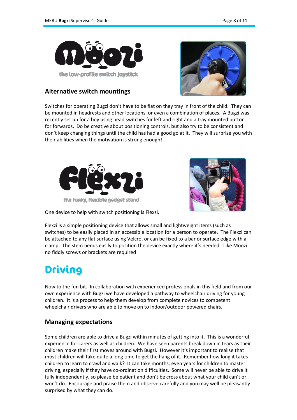

### **Alternative switch mountings**



Switches for operating Bugzi don't have to be flat on they tray in front of the child. They can be mounted in headrests and other locations, or even a combination of places. A Bugzi was recently set up for a boy using head switches for left and right and a tray mounted button for forwards. Do be creative about positioning controls, but also try to be consistent and don't keep changing things until the child has had a good go at it. They will surprise you with their abilities when the motivation is strong enough!





One device to help with switch positioning is Flexzi.

Flexzi is a simple positioning device that allows small and lightweight items (such as switches) to be easily placed in an accessible location for a person to operate. The Flexzi can be attached to any flat surface using Velcro, or can be fixed to a bar or surface edge with a clamp. The stem bends easily to position the device exactly where it's needed. Like Moozi no fiddly screws or brackets are required!

# **Driving**

Now to the fun bit. In collaboration with experienced professionals in this field and from our own experience with Bugzi we have developed a pathway to wheelchair driving for young children. It is a process to help them develop from complete novices to competent wheelchair drivers who are able to move on to indoor/outdoor powered chairs.

### **Managing expectations**

Some children are able to drive a Bugzi within minutes of getting into it. This is a wonderful experience for carers as well as children. We have seen parents break down in tears as their children make their first moves around with Bugzi. However it's important to realise that most children will take quite a long time to get the hang of it. Remember how long it takes children to learn to crawl and walk? It can take months, even years for children to master driving, especially if they have co-ordination difficulties. Some will never be able to drive it fully independently, so please be patient and don't be cross about what your child can't or won't do. Encourage and praise them and observe carefully and you may well be pleasantly surprised by what they can do.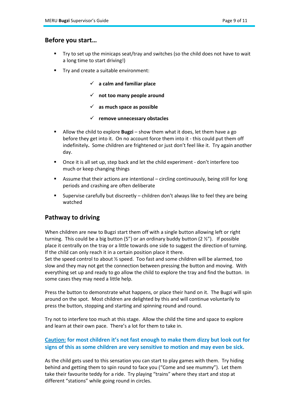#### **Before you start…**

- Try to set up the minicaps seat/tray and switches (so the child does not have to wait a long time to start driving!)
- **Try and create a suitable environment:** 
	- **a calm and familiar place**
	- **not too many people around**
	- **as much space as possible**
	- **remove unnecessary obstacles**
- Allow the child to explore **Bugzi** show them what it does, let them have a go before they get into it. On no account force them into it - this could put them off indefinitely**.** Some children are frightened or just don't feel like it. Try again another day.
- Once it is all set up, step back and let the child experiment don't interfere too much or keep changing things
- Assume that their actions are intentional circling continuously, being still for long periods and crashing are often deliberate
- Supervise carefully but discreetly children don't always like to feel they are being watched

#### **Pathway to driving**

When children are new to Bugzi start them off with a single button allowing left or right turning. This could be a big button (5") or an ordinary buddy button (2  $\frac{1}{2}$ "). If possible place it centrally on the tray or a little towards one side to suggest the direction of turning. If the child can only reach it in a certain position place it there.

Set the speed control to about ½ speed. Too fast and some children will be alarmed, too slow and they may not get the connection between pressing the button and moving. With everything set up and ready to go allow the child to explore the tray and find the button. In some cases they may need a little help.

Press the button to demonstrate what happens, or place their hand on it. The Bugzi will spin around on the spot. Most children are delighted by this and will continue voluntarily to press the button, stopping and starting and spinning round and round.

Try not to interfere too much at this stage. Allow the child the time and space to explore and learn at their own pace. There's a lot for them to take in.

#### **Caution: for most children it's not fast enough to make them dizzy but look out for signs of this as some children are very sensitive to motion and may even be sick.**

As the child gets used to this sensation you can start to play games with them. Try hiding behind and getting them to spin round to face you ("Come and see mummy"). Let them take their favourite teddy for a ride. Try playing "trains" where they start and stop at different "stations" while going round in circles.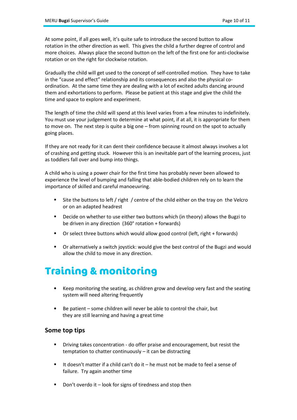At some point, if all goes well, it's quite safe to introduce the second button to allow rotation in the other direction as well. This gives the child a further degree of control and more choices. Always place the second button on the left of the first one for anti-clockwise rotation or on the right for clockwise rotation.

Gradually the child will get used to the concept of self-controlled motion. They have to take in the "cause and effect" relationship and its consequences and also the physical coordination. At the same time they are dealing with a lot of excited adults dancing around them and exhortations to perform. Please be patient at this stage and give the child the time and space to explore and experiment.

The length of time the child will spend at this level varies from a few minutes to indefinitely. You must use your judgement to determine at what point, if at all, it is appropriate for them to move on. The next step is quite a big one – from spinning round on the spot to actually going places.

If they are not ready for it can dent their confidence because it almost always involves a lot of crashing and getting stuck. However this is an inevitable part of the learning process, just as toddlers fall over and bump into things.

A child who is using a power chair for the first time has probably never been allowed to experience the level of bumping and falling that able-bodied children rely on to learn the importance of skilled and careful manoeuvring.

- Site the buttons to left / right / centre of the child either on the tray on the Velcro or on an adapted headrest
- Decide on whether to use either two buttons which (in theory) allows the Bugzi to be driven in any direction (360° rotation + forwards)
- Or select three buttons which would allow good control (left, right + forwards)
- Or alternatively a switch joystick: would give the best control of the Bugzi and would allow the child to move in any direction.

## **Training & monitoring**

- Keep monitoring the seating, as children grow and develop very fast and the seating system will need altering frequently
- Be patient some children will never be able to control the chair, but they are still learning and having a great time

### **Some top tips**

- Driving takes concentration do offer praise and encouragement, but resist the temptation to chatter continuously – it can be distracting
- It doesn't matter if a child can't do it  $-$  he must not be made to feel a sense of failure. Try again another time
- Don't overdo it look for signs of tiredness and stop then